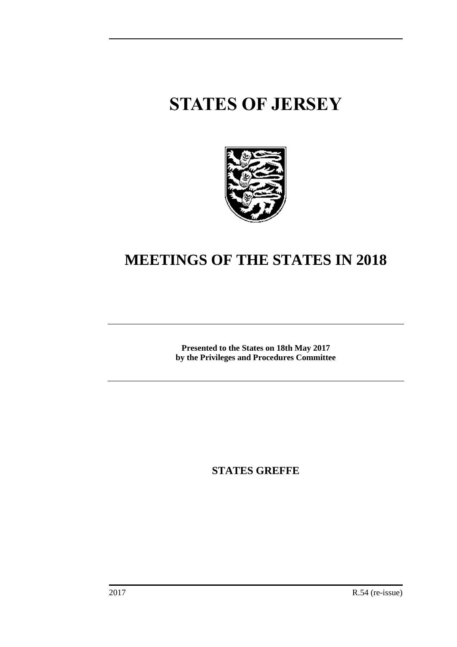# **STATES OF JERSEY**



## **MEETINGS OF THE STATES IN 2018**

**Presented to the States on 18th May 2017 by the Privileges and Procedures Committee**

**STATES GREFFE**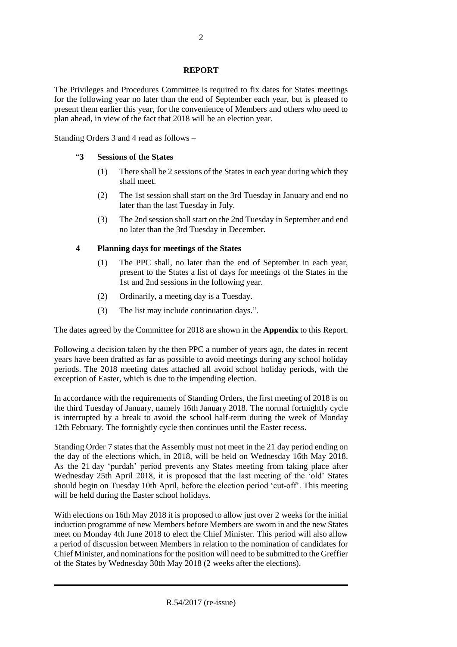#### **REPORT**

The Privileges and Procedures Committee is required to fix dates for States meetings for the following year no later than the end of September each year, but is pleased to present them earlier this year, for the convenience of Members and others who need to plan ahead, in view of the fact that 2018 will be an election year.

Standing Orders 3 and 4 read as follows –

#### "**3 Sessions of the States**

- (1) There shall be 2 sessions of the States in each year during which they shall meet.
- (2) The 1st session shall start on the 3rd Tuesday in January and end no later than the last Tuesday in July.
- (3) The 2nd session shall start on the 2nd Tuesday in September and end no later than the 3rd Tuesday in December.

#### **4 Planning days for meetings of the States**

- (1) The PPC shall, no later than the end of September in each year, present to the States a list of days for meetings of the States in the 1st and 2nd sessions in the following year.
- (2) Ordinarily, a meeting day is a Tuesday.
- (3) The list may include continuation days.".

The dates agreed by the Committee for 2018 are shown in the **Appendix** to this Report.

Following a decision taken by the then PPC a number of years ago, the dates in recent years have been drafted as far as possible to avoid meetings during any school holiday periods. The 2018 meeting dates attached all avoid school holiday periods, with the exception of Easter, which is due to the impending election.

In accordance with the requirements of Standing Orders, the first meeting of 2018 is on the third Tuesday of January, namely 16th January 2018. The normal fortnightly cycle is interrupted by a break to avoid the school half-term during the week of Monday 12th February. The fortnightly cycle then continues until the Easter recess.

Standing Order 7 states that the Assembly must not meet in the 21 day period ending on the day of the elections which, in 2018, will be held on Wednesday 16th May 2018. As the 21 day 'purdah' period prevents any States meeting from taking place after Wednesday 25th April 2018, it is proposed that the last meeting of the 'old' States should begin on Tuesday 10th April, before the election period 'cut-off'. This meeting will be held during the Easter school holidays.

With elections on 16th May 2018 it is proposed to allow just over 2 weeks for the initial induction programme of new Members before Members are sworn in and the new States meet on Monday 4th June 2018 to elect the Chief Minister. This period will also allow a period of discussion between Members in relation to the nomination of candidates for Chief Minister, and nominations for the position will need to be submitted to the Greffier of the States by Wednesday 30th May 2018 (2 weeks after the elections).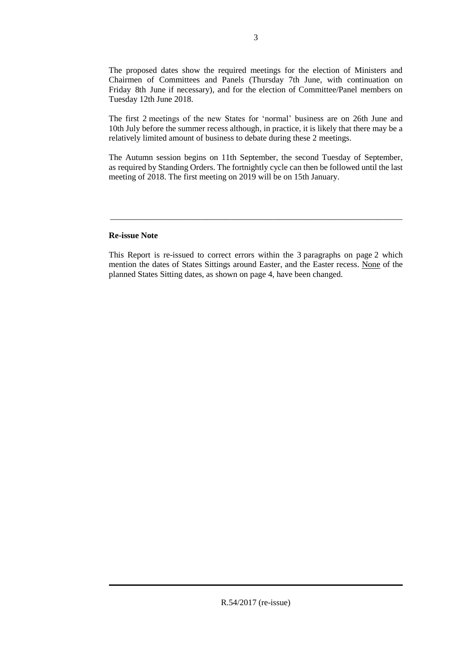The proposed dates show the required meetings for the election of Ministers and Chairmen of Committees and Panels (Thursday 7th June, with continuation on Friday 8th June if necessary), and for the election of Committee/Panel members on Tuesday 12th June 2018.

The first 2 meetings of the new States for 'normal' business are on 26th June and 10th July before the summer recess although, in practice, it is likely that there may be a relatively limited amount of business to debate during these 2 meetings.

The Autumn session begins on 11th September, the second Tuesday of September, as required by Standing Orders. The fortnightly cycle can then be followed until the last meeting of 2018. The first meeting on 2019 will be on 15th January.

#### **Re-issue Note**

This Report is re-issued to correct errors within the 3 paragraphs on page 2 which mention the dates of States Sittings around Easter, and the Easter recess. None of the planned States Sitting dates, as shown on page 4, have been changed.

\_\_\_\_\_\_\_\_\_\_\_\_\_\_\_\_\_\_\_\_\_\_\_\_\_\_\_\_\_\_\_\_\_\_\_\_\_\_\_\_\_\_\_\_\_\_\_\_\_\_\_\_\_\_\_\_\_\_\_\_\_\_\_\_\_\_\_\_\_